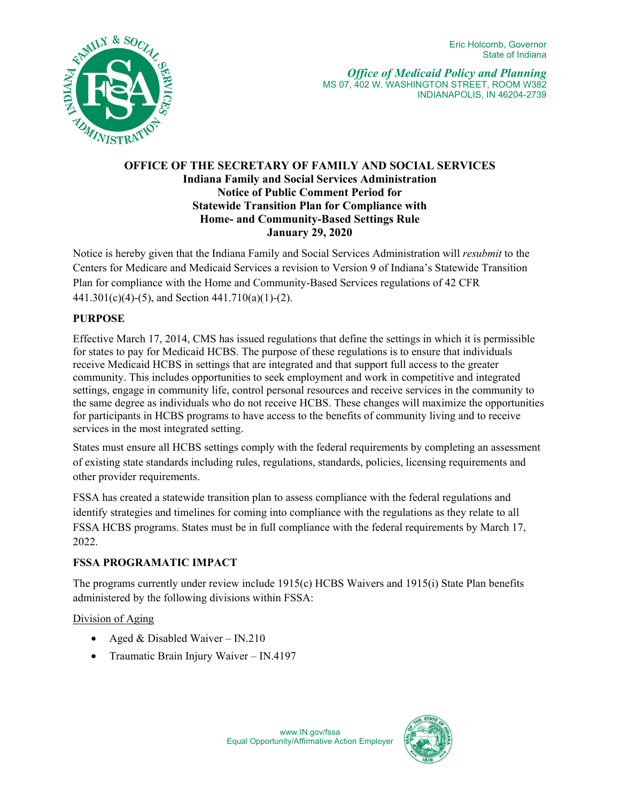

*Office of Medicaid Policy and Planning* MS 07, 402 W. WASHINGTON STREET, ROOM W382 INDIANAPOLIS, IN 46204-2739

## **OFFICE OF THE SECRETARY OF FAMILY AND SOCIAL SERVICES Indiana Family and Social Services Administration Notice of Public Comment Period for Statewide Transition Plan for Compliance with Home- and Community-Based Settings Rule January 29, 2020**

Notice is hereby given that the Indiana Family and Social Services Administration will *resubmit* to the Centers for Medicare and Medicaid Services a revision to Version 9 of Indiana's Statewide Transition Plan for compliance with the Home and Community-Based Services regulations of 42 CFR 441.301(c)(4)-(5), and Section 441.710(a)(1)-(2).

# **PURPOSE**

Effective March 17, 2014, CMS has issued regulations that define the settings in which it is permissible for states to pay for Medicaid HCBS. The purpose of these regulations is to ensure that individuals receive Medicaid HCBS in settings that are integrated and that support full access to the greater community. This includes opportunities to seek employment and work in competitive and integrated settings, engage in community life, control personal resources and receive services in the community to the same degree as individuals who do not receive HCBS. These changes will maximize the opportunities for participants in HCBS programs to have access to the benefits of community living and to receive services in the most integrated setting.

States must ensure all HCBS settings comply with the federal requirements by completing an assessment of existing state standards including rules, regulations, standards, policies, licensing requirements and other provider requirements.

FSSA has created a statewide transition plan to assess compliance with the federal regulations and identify strategies and timelines for coming into compliance with the regulations as they relate to all FSSA HCBS programs. States must be in full compliance with the federal requirements by March 17, 2022.

## **FSSA PROGRAMATIC IMPACT**

The programs currently under review include 1915(c) HCBS Waivers and 1915(i) State Plan benefits administered by the following divisions within FSSA:

## Division of Aging

- Aged & Disabled Waiver IN.210
- Traumatic Brain Injury Waiver IN.4197